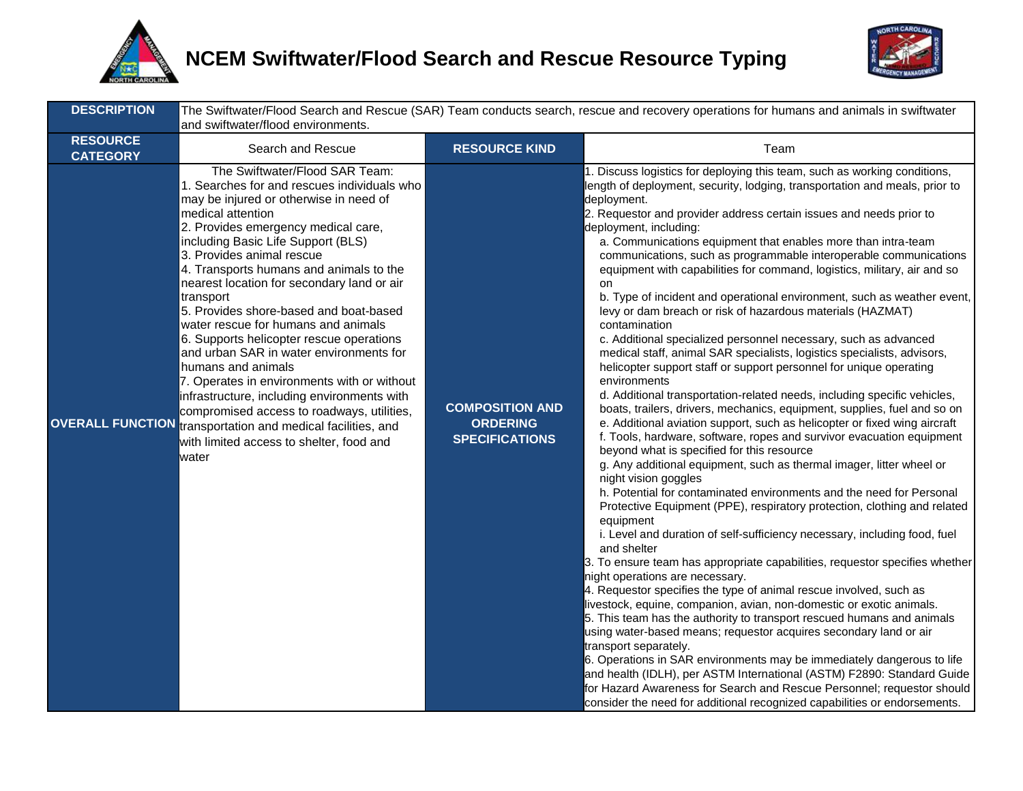



| <b>DESCRIPTION</b>                 | and swiftwater/flood environments.                                                                                                                                                                                                                                                                                                                                                                                                                                                                                                                                                                                                                                                                                                                                                                                                |                                                                    | The Swiftwater/Flood Search and Rescue (SAR) Team conducts search, rescue and recovery operations for humans and animals in swiftwater                                                                                                                                                                                                                                                                                                                                                                                                                                                                                                                                                                                                                                                                                                                                                                                                                                                                                                                                                                                                                                                                                                                                                                                                                                                                                                                                                                                                                                                                                                                                                                                                                                                                                                                                                                                                                                                                                                                                                                                                                                                                                                                                                                                                                                     |
|------------------------------------|-----------------------------------------------------------------------------------------------------------------------------------------------------------------------------------------------------------------------------------------------------------------------------------------------------------------------------------------------------------------------------------------------------------------------------------------------------------------------------------------------------------------------------------------------------------------------------------------------------------------------------------------------------------------------------------------------------------------------------------------------------------------------------------------------------------------------------------|--------------------------------------------------------------------|----------------------------------------------------------------------------------------------------------------------------------------------------------------------------------------------------------------------------------------------------------------------------------------------------------------------------------------------------------------------------------------------------------------------------------------------------------------------------------------------------------------------------------------------------------------------------------------------------------------------------------------------------------------------------------------------------------------------------------------------------------------------------------------------------------------------------------------------------------------------------------------------------------------------------------------------------------------------------------------------------------------------------------------------------------------------------------------------------------------------------------------------------------------------------------------------------------------------------------------------------------------------------------------------------------------------------------------------------------------------------------------------------------------------------------------------------------------------------------------------------------------------------------------------------------------------------------------------------------------------------------------------------------------------------------------------------------------------------------------------------------------------------------------------------------------------------------------------------------------------------------------------------------------------------------------------------------------------------------------------------------------------------------------------------------------------------------------------------------------------------------------------------------------------------------------------------------------------------------------------------------------------------------------------------------------------------------------------------------------------------|
| <b>RESOURCE</b><br><b>CATEGORY</b> | Search and Rescue                                                                                                                                                                                                                                                                                                                                                                                                                                                                                                                                                                                                                                                                                                                                                                                                                 | <b>RESOURCE KIND</b>                                               | Team                                                                                                                                                                                                                                                                                                                                                                                                                                                                                                                                                                                                                                                                                                                                                                                                                                                                                                                                                                                                                                                                                                                                                                                                                                                                                                                                                                                                                                                                                                                                                                                                                                                                                                                                                                                                                                                                                                                                                                                                                                                                                                                                                                                                                                                                                                                                                                       |
|                                    | The Swiftwater/Flood SAR Team:<br>1. Searches for and rescues individuals who<br>may be injured or otherwise in need of<br>medical attention<br>2. Provides emergency medical care,<br>including Basic Life Support (BLS)<br>3. Provides animal rescue<br>4. Transports humans and animals to the<br>nearest location for secondary land or air<br>transport<br>5. Provides shore-based and boat-based<br>water rescue for humans and animals<br>6. Supports helicopter rescue operations<br>and urban SAR in water environments for<br>humans and animals<br>7. Operates in environments with or without<br>infrastructure, including environments with<br>compromised access to roadways, utilities,<br><b>OVERALL FUNCTION</b> transportation and medical facilities, and<br>with limited access to shelter, food and<br>water | <b>COMPOSITION AND</b><br><b>ORDERING</b><br><b>SPECIFICATIONS</b> | 1. Discuss logistics for deploying this team, such as working conditions,<br>length of deployment, security, lodging, transportation and meals, prior to<br>deployment.<br>2. Requestor and provider address certain issues and needs prior to<br>deployment, including:<br>a. Communications equipment that enables more than intra-team<br>communications, such as programmable interoperable communications<br>equipment with capabilities for command, logistics, military, air and so<br>on<br>b. Type of incident and operational environment, such as weather event,<br>levy or dam breach or risk of hazardous materials (HAZMAT)<br>contamination<br>c. Additional specialized personnel necessary, such as advanced<br>medical staff, animal SAR specialists, logistics specialists, advisors,<br>helicopter support staff or support personnel for unique operating<br>environments<br>d. Additional transportation-related needs, including specific vehicles,<br>boats, trailers, drivers, mechanics, equipment, supplies, fuel and so on<br>e. Additional aviation support, such as helicopter or fixed wing aircraft<br>f. Tools, hardware, software, ropes and survivor evacuation equipment<br>beyond what is specified for this resource<br>g. Any additional equipment, such as thermal imager, litter wheel or<br>night vision goggles<br>h. Potential for contaminated environments and the need for Personal<br>Protective Equipment (PPE), respiratory protection, clothing and related<br>equipment<br>i. Level and duration of self-sufficiency necessary, including food, fuel<br>and shelter<br>3. To ensure team has appropriate capabilities, requestor specifies whether<br>night operations are necessary.<br>4. Requestor specifies the type of animal rescue involved, such as<br>livestock, equine, companion, avian, non-domestic or exotic animals.<br>5. This team has the authority to transport rescued humans and animals<br>using water-based means; requestor acquires secondary land or air<br>transport separately.<br>6. Operations in SAR environments may be immediately dangerous to life<br>and health (IDLH), per ASTM International (ASTM) F2890: Standard Guide<br>for Hazard Awareness for Search and Rescue Personnel; requestor should<br>consider the need for additional recognized capabilities or endorsements. |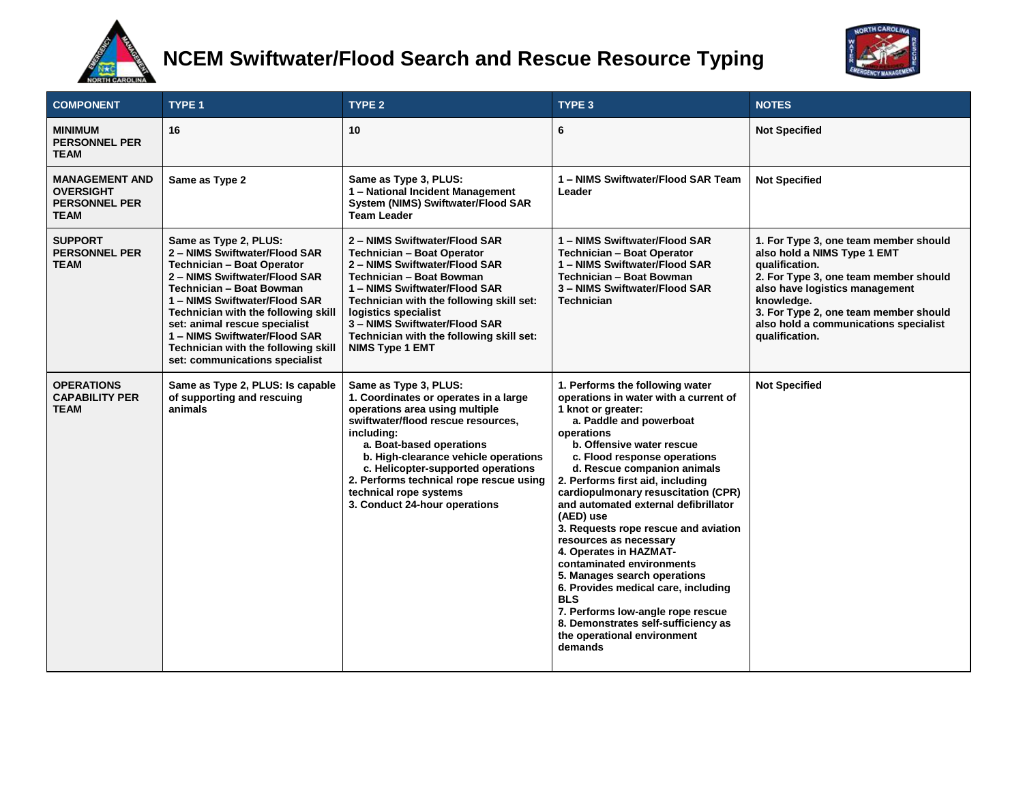

# **NCEM Swiftwater/Flood Search and Rescue Resource Typing**



| <b>COMPONENT</b>                                                                 | TYPE <sub>1</sub>                                                                                                                                                                                                                                                                                                                                                           | TYPE <sub>2</sub>                                                                                                                                                                                                                                                                                                                                                    | TYPE <sub>3</sub>                                                                                                                                                                                                                                                                                                                                                                                                                                                                                                                                                                                                                                                                                       | <b>NOTES</b>                                                                                                                                                                                                                                                                        |
|----------------------------------------------------------------------------------|-----------------------------------------------------------------------------------------------------------------------------------------------------------------------------------------------------------------------------------------------------------------------------------------------------------------------------------------------------------------------------|----------------------------------------------------------------------------------------------------------------------------------------------------------------------------------------------------------------------------------------------------------------------------------------------------------------------------------------------------------------------|---------------------------------------------------------------------------------------------------------------------------------------------------------------------------------------------------------------------------------------------------------------------------------------------------------------------------------------------------------------------------------------------------------------------------------------------------------------------------------------------------------------------------------------------------------------------------------------------------------------------------------------------------------------------------------------------------------|-------------------------------------------------------------------------------------------------------------------------------------------------------------------------------------------------------------------------------------------------------------------------------------|
| <b>MINIMUM</b><br><b>PERSONNEL PER</b><br><b>TEAM</b>                            | 16                                                                                                                                                                                                                                                                                                                                                                          | 10                                                                                                                                                                                                                                                                                                                                                                   | 6                                                                                                                                                                                                                                                                                                                                                                                                                                                                                                                                                                                                                                                                                                       | <b>Not Specified</b>                                                                                                                                                                                                                                                                |
| <b>MANAGEMENT AND</b><br><b>OVERSIGHT</b><br><b>PERSONNEL PER</b><br><b>TEAM</b> | Same as Type 2                                                                                                                                                                                                                                                                                                                                                              | Same as Type 3, PLUS:<br>1 - National Incident Management<br>System (NIMS) Swiftwater/Flood SAR<br><b>Team Leader</b>                                                                                                                                                                                                                                                | 1 - NIMS Swiftwater/Flood SAR Team<br>Leader                                                                                                                                                                                                                                                                                                                                                                                                                                                                                                                                                                                                                                                            | <b>Not Specified</b>                                                                                                                                                                                                                                                                |
| <b>SUPPORT</b><br><b>PERSONNEL PER</b><br><b>TEAM</b>                            | Same as Type 2, PLUS:<br>2 - NIMS Swiftwater/Flood SAR<br><b>Technician - Boat Operator</b><br>2 - NIMS Swiftwater/Flood SAR<br>Technician - Boat Bowman<br>1 - NIMS Swiftwater/Flood SAR<br>Technician with the following skill<br>set: animal rescue specialist<br>1 - NIMS Swiftwater/Flood SAR<br>Technician with the following skill<br>set: communications specialist | 2 - NIMS Swiftwater/Flood SAR<br>Technician - Boat Operator<br>2 - NIMS Swiftwater/Flood SAR<br>Technician - Boat Bowman<br>1 - NIMS Swiftwater/Flood SAR<br>Technician with the following skill set:<br>logistics specialist<br>3 - NIMS Swiftwater/Flood SAR<br>Technician with the following skill set:<br><b>NIMS Type 1 EMT</b>                                 | 1 - NIMS Swiftwater/Flood SAR<br><b>Technician - Boat Operator</b><br>1 - NIMS Swiftwater/Flood SAR<br>Technician - Boat Bowman<br>3 - NIMS Swiftwater/Flood SAR<br><b>Technician</b>                                                                                                                                                                                                                                                                                                                                                                                                                                                                                                                   | 1. For Type 3, one team member should<br>also hold a NIMS Type 1 EMT<br>qualification.<br>2. For Type 3, one team member should<br>also have logistics management<br>knowledge.<br>3. For Type 2, one team member should<br>also hold a communications specialist<br>qualification. |
| <b>OPERATIONS</b><br><b>CAPABILITY PER</b><br><b>TEAM</b>                        | Same as Type 2, PLUS: Is capable<br>of supporting and rescuing<br>animals                                                                                                                                                                                                                                                                                                   | Same as Type 3, PLUS:<br>1. Coordinates or operates in a large<br>operations area using multiple<br>swiftwater/flood rescue resources,<br>including:<br>a. Boat-based operations<br>b. High-clearance vehicle operations<br>c. Helicopter-supported operations<br>2. Performs technical rope rescue using<br>technical rope systems<br>3. Conduct 24-hour operations | 1. Performs the following water<br>operations in water with a current of<br>1 knot or greater:<br>a. Paddle and powerboat<br>operations<br>b. Offensive water rescue<br>c. Flood response operations<br>d. Rescue companion animals<br>2. Performs first aid, including<br>cardiopulmonary resuscitation (CPR)<br>and automated external defibrillator<br>(AED) use<br>3. Requests rope rescue and aviation<br>resources as necessary<br>4. Operates in HAZMAT-<br>contaminated environments<br>5. Manages search operations<br>6. Provides medical care, including<br><b>BLS</b><br>7. Performs low-angle rope rescue<br>8. Demonstrates self-sufficiency as<br>the operational environment<br>demands | <b>Not Specified</b>                                                                                                                                                                                                                                                                |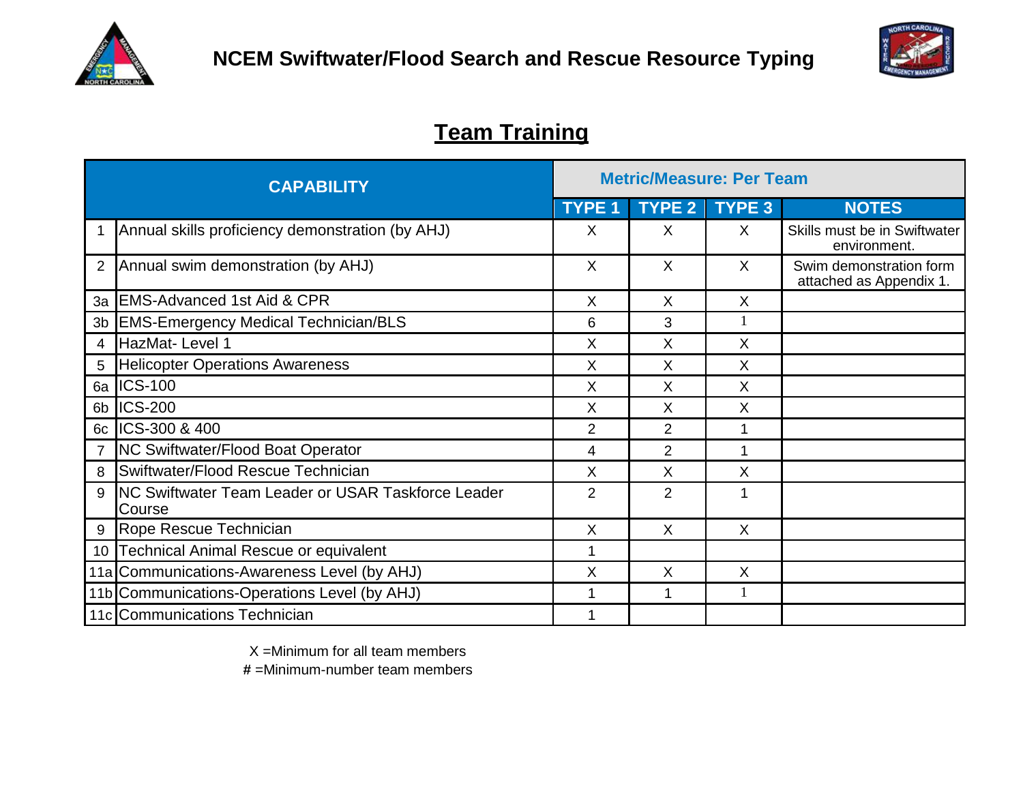



## **Team Training**

| <b>CAPABILITY</b> |                                                                      |                | <b>Metric/Measure: Per Team</b> |               |                                                    |  |  |
|-------------------|----------------------------------------------------------------------|----------------|---------------------------------|---------------|----------------------------------------------------|--|--|
|                   |                                                                      |                | <b>TYPE 2</b>                   | <b>TYPE 3</b> | <b>NOTES</b>                                       |  |  |
|                   | Annual skills proficiency demonstration (by AHJ)                     | X              | X                               | X             | Skills must be in Swiftwater<br>environment.       |  |  |
| $\overline{2}$    | Annual swim demonstration (by AHJ)                                   | $\times$       | $\times$                        | X             | Swim demonstration form<br>attached as Appendix 1. |  |  |
| 3a                | <b>EMS-Advanced 1st Aid &amp; CPR</b>                                | X              | X                               | X             |                                                    |  |  |
| 3b                | <b>EMS-Emergency Medical Technician/BLS</b>                          | 6              | 3                               |               |                                                    |  |  |
| 4                 | HazMat-Level 1                                                       | Χ              | X                               | X             |                                                    |  |  |
| 5                 | <b>Helicopter Operations Awareness</b>                               | X              | X                               | X             |                                                    |  |  |
|                   | 6a ICS-100                                                           | X              | X                               | X             |                                                    |  |  |
| 6b                | <b>ICS-200</b>                                                       | X              | X                               | X             |                                                    |  |  |
| 6c                | ICS-300 & 400                                                        | $\overline{2}$ | $\overline{2}$                  | 1             |                                                    |  |  |
|                   | <b>NC Swiftwater/Flood Boat Operator</b>                             | 4              | 2                               | 1             |                                                    |  |  |
| 8                 | Swiftwater/Flood Rescue Technician                                   | X              | X                               | Χ             |                                                    |  |  |
| 9                 | <b>INC Swiftwater Team Leader or USAR Taskforce Leader</b><br>Course | $\overline{2}$ | $\overline{2}$                  | 1             |                                                    |  |  |
| 9                 | Rope Rescue Technician                                               | X              | X                               | X             |                                                    |  |  |
| 10                | Technical Animal Rescue or equivalent                                | 1              |                                 |               |                                                    |  |  |
|                   | 11a Communications-Awareness Level (by AHJ)                          | X              | X                               | X             |                                                    |  |  |
|                   | 11b Communications-Operations Level (by AHJ)                         |                | 1                               |               |                                                    |  |  |
|                   | 11c Communications Technician                                        |                |                                 |               |                                                    |  |  |

X =Minimum for all team members

**#** =Minimum-number team members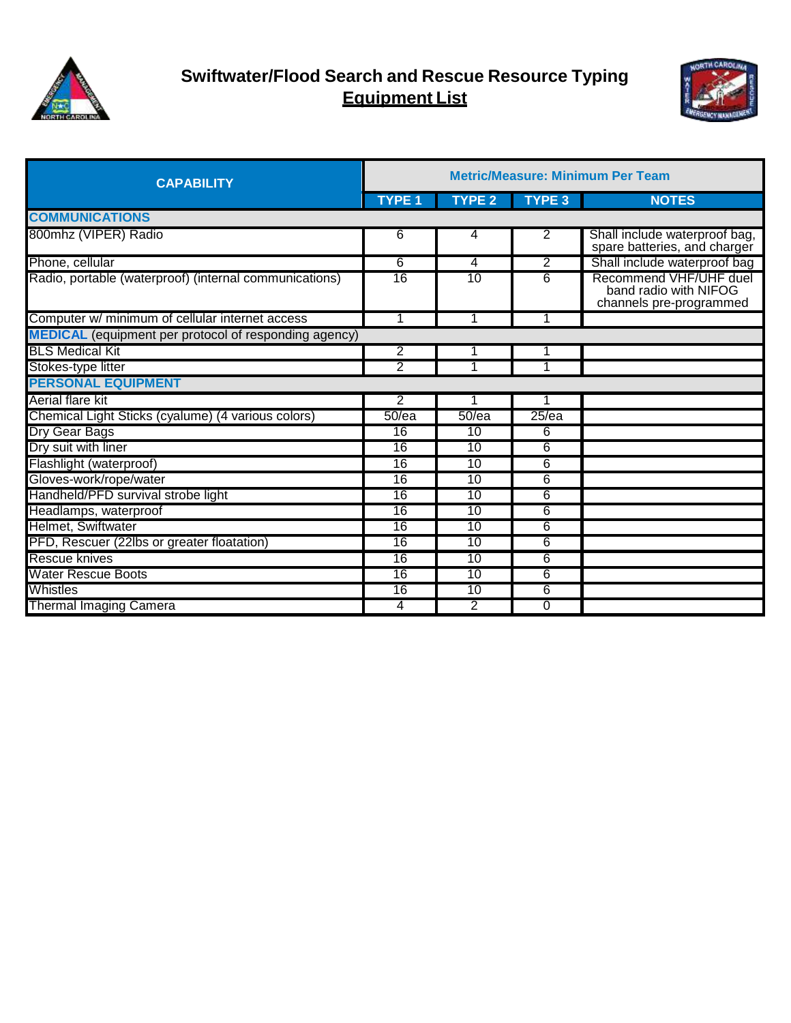



| <b>CAPABILITY</b>                                            | <b>Metric/Measure: Minimum Per Team</b> |                 |                |                                                                            |  |
|--------------------------------------------------------------|-----------------------------------------|-----------------|----------------|----------------------------------------------------------------------------|--|
|                                                              | <b>TYPE 1</b>                           | <b>TYPE 2</b>   | <b>TYPE 3</b>  | <b>NOTES</b>                                                               |  |
| <b>COMMUNICATIONS</b>                                        |                                         |                 |                |                                                                            |  |
| 800mhz (VIPER) Radio                                         | 6                                       | 4               | $\overline{2}$ | Shall include waterproof bag,<br>spare batteries, and charger              |  |
| Phone, cellular                                              | 6                                       | 4               | 2              | Shall include waterproof bag                                               |  |
| Radio, portable (waterproof) (internal communications)       | $\overline{16}$                         | 10              | 6              | Recommend VHF/UHF duel<br>band radio with NIFOG<br>channels pre-programmed |  |
| Computer w/ minimum of cellular internet access              | 1                                       |                 |                |                                                                            |  |
| <b>MEDICAL</b> (equipment per protocol of responding agency) |                                         |                 |                |                                                                            |  |
| <b>BLS Medical Kit</b>                                       | 2                                       |                 |                |                                                                            |  |
| Stokes-type litter                                           | 2                                       |                 | 1              |                                                                            |  |
| <b>PERSONAL EQUIPMENT</b>                                    |                                         |                 |                |                                                                            |  |
| Aerial flare kit                                             | 2                                       |                 | 1              |                                                                            |  |
| Chemical Light Sticks (cyalume) (4 various colors)           | 50/ea                                   | 50/ea           | $25$ /ea       |                                                                            |  |
| Dry Gear Bags                                                | 16                                      | $\overline{10}$ | 6              |                                                                            |  |
| Dry suit with liner                                          | 16                                      | 10              | 6              |                                                                            |  |
| Flashlight (waterproof)                                      | 16                                      | 10              | 6              |                                                                            |  |
| Gloves-work/rope/water                                       | $\overline{16}$                         | 10              | 6              |                                                                            |  |
| Handheld/PFD survival strobe light                           | 16                                      | 10              | 6              |                                                                            |  |
| Headlamps, waterproof                                        | 16                                      | 10              | 6              |                                                                            |  |
| Helmet, Swiftwater                                           | $\overline{16}$                         | 10              | 6              |                                                                            |  |
| PFD, Rescuer (22lbs or greater floatation)                   | 16                                      | 10              | 6              |                                                                            |  |
| Rescue knives                                                | $\overline{16}$                         | $\overline{10}$ | 6              |                                                                            |  |
| <b>Water Rescue Boots</b>                                    | 16                                      | 10              | 6              |                                                                            |  |
| Whistles                                                     | 16                                      | 10              | 6              |                                                                            |  |
| <b>Thermal Imaging Camera</b>                                | 4                                       | 2               | $\Omega$       |                                                                            |  |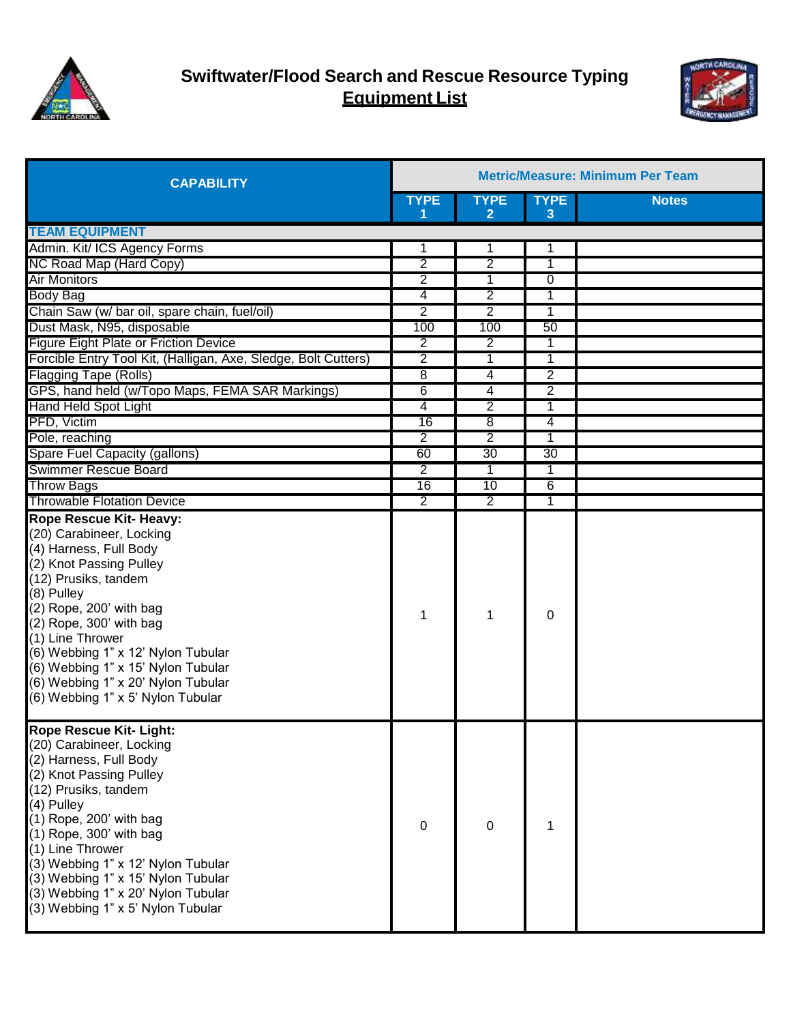



| <b>CAPABILITY</b>                                                                                                                                                                                                                                                                                                                                                                        | <b>Metric/Measure: Minimum Per Team</b> |                  |                  |              |  |
|------------------------------------------------------------------------------------------------------------------------------------------------------------------------------------------------------------------------------------------------------------------------------------------------------------------------------------------------------------------------------------------|-----------------------------------------|------------------|------------------|--------------|--|
|                                                                                                                                                                                                                                                                                                                                                                                          | <b>TYPE</b><br>1                        | <b>TYPE</b><br>2 | <b>TYPE</b><br>3 | <b>Notes</b> |  |
| <b>TEAM EQUIPMENT</b>                                                                                                                                                                                                                                                                                                                                                                    |                                         |                  |                  |              |  |
| Admin. Kit/ ICS Agency Forms                                                                                                                                                                                                                                                                                                                                                             | 1                                       | 1                | 1                |              |  |
| NC Road Map (Hard Copy)                                                                                                                                                                                                                                                                                                                                                                  | $\overline{2}$                          | 2                | 1                |              |  |
| <b>Air Monitors</b>                                                                                                                                                                                                                                                                                                                                                                      | $\overline{2}$                          | 1                | 0                |              |  |
| <b>Body Bag</b>                                                                                                                                                                                                                                                                                                                                                                          | 4                                       | 2                | 1                |              |  |
| Chain Saw (w/ bar oil, spare chain, fuel/oil)                                                                                                                                                                                                                                                                                                                                            | 2                                       | $\overline{2}$   | $\mathbf{1}$     |              |  |
| Dust Mask, N95, disposable                                                                                                                                                                                                                                                                                                                                                               | 100                                     | 100              | 50               |              |  |
| <b>Figure Eight Plate or Friction Device</b>                                                                                                                                                                                                                                                                                                                                             | $\overline{2}$                          | $\overline{2}$   | $\mathbf 1$      |              |  |
| Forcible Entry Tool Kit, (Halligan, Axe, Sledge, Bolt Cutters)                                                                                                                                                                                                                                                                                                                           | $\overline{2}$                          | 1                | $\mathbf 1$      |              |  |
| <b>Flagging Tape (Rolls)</b>                                                                                                                                                                                                                                                                                                                                                             | $\overline{8}$                          | 4                | 2                |              |  |
| GPS, hand held (w/Topo Maps, FEMA SAR Markings)                                                                                                                                                                                                                                                                                                                                          | 6                                       | 4                | $\overline{2}$   |              |  |
| Hand Held Spot Light                                                                                                                                                                                                                                                                                                                                                                     | 4                                       | $\overline{2}$   | 1                |              |  |
| PFD, Victim                                                                                                                                                                                                                                                                                                                                                                              | 16                                      | $\overline{8}$   | 4                |              |  |
| Pole, reaching                                                                                                                                                                                                                                                                                                                                                                           | $\overline{2}$                          | $\overline{2}$   | 1                |              |  |
| Spare Fuel Capacity (gallons)                                                                                                                                                                                                                                                                                                                                                            | 60                                      | 30               | 30               |              |  |
| <b>Swimmer Rescue Board</b>                                                                                                                                                                                                                                                                                                                                                              | $\overline{2}$                          | 1                | 1                |              |  |
| <b>Throw Bags</b>                                                                                                                                                                                                                                                                                                                                                                        | 16                                      | 10               | 6                |              |  |
| <b>Throwable Flotation Device</b>                                                                                                                                                                                                                                                                                                                                                        | $\overline{2}$                          | $\overline{2}$   | 1                |              |  |
| <b>Rope Rescue Kit- Heavy:</b><br>(20) Carabineer, Locking<br>(4) Harness, Full Body<br>(2) Knot Passing Pulley<br>(12) Prusiks, tandem<br>(8) Pulley<br>(2) Rope, 200' with bag<br>(2) Rope, 300' with bag<br>(1) Line Thrower<br>(6) Webbing 1" x 12' Nylon Tubular<br>(6) Webbing 1" x 15' Nylon Tubular<br>(6) Webbing 1" x 20' Nylon Tubular<br>(6) Webbing 1" x 5' Nylon Tubular   | 1                                       | 1                | 0                |              |  |
| <b>Rope Rescue Kit- Light:</b><br>(20) Carabineer, Locking<br>(2) Harness, Full Body<br>(2) Knot Passing Pulley<br>(12) Prusiks, tandem<br>(4) Pulley<br>(1) Rope, 200' with bag<br>$(1)$ Rope, 300' with bag<br>(1) Line Thrower<br>(3) Webbing 1" x 12' Nylon Tubular<br>(3) Webbing 1" x 15' Nylon Tubular<br>(3) Webbing 1" x 20' Nylon Tubular<br>(3) Webbing 1" x 5' Nylon Tubular | $\mathbf 0$                             | $\Omega$         | 1                |              |  |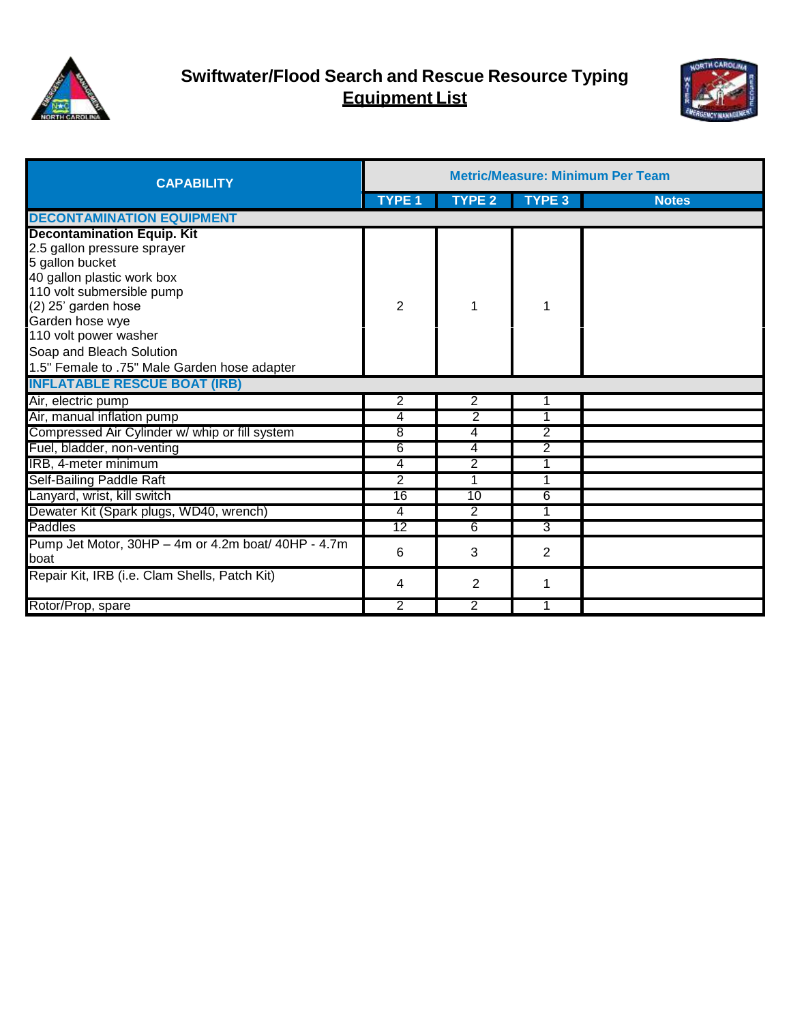



| <b>CAPABILITY</b>                                   | <b>Metric/Measure: Minimum Per Team</b> |                |               |              |  |
|-----------------------------------------------------|-----------------------------------------|----------------|---------------|--------------|--|
|                                                     | <b>TYPE 1</b>                           | <b>TYPE 2</b>  | <b>TYPE 3</b> | <b>Notes</b> |  |
| <b>DECONTAMINATION EQUIPMENT</b>                    |                                         |                |               |              |  |
| <b>Decontamination Equip. Kit</b>                   |                                         |                |               |              |  |
| 2.5 gallon pressure sprayer                         |                                         |                |               |              |  |
| 5 gallon bucket                                     |                                         |                |               |              |  |
| 40 gallon plastic work box                          |                                         |                |               |              |  |
| 110 volt submersible pump                           |                                         |                |               |              |  |
| (2) 25' garden hose                                 | $\overline{2}$                          | 1              |               |              |  |
| Garden hose wye                                     |                                         |                |               |              |  |
| 110 volt power washer                               |                                         |                |               |              |  |
| Soap and Bleach Solution                            |                                         |                |               |              |  |
| 1.5" Female to .75" Male Garden hose adapter        |                                         |                |               |              |  |
| <b>INFLATABLE RESCUE BOAT (IRB)</b>                 |                                         |                |               |              |  |
| Air, electric pump                                  | 2                                       | 2              |               |              |  |
| Air, manual inflation pump                          | 4                                       | 2              |               |              |  |
| Compressed Air Cylinder w/ whip or fill system      | 8                                       | 4              | 2             |              |  |
| Fuel, bladder, non-venting                          | 6                                       | 4              | 2             |              |  |
| IRB, 4-meter minimum                                | 4                                       | $\overline{2}$ |               |              |  |
| Self-Bailing Paddle Raft                            | $\overline{2}$                          | 1              | 1             |              |  |
| Lanyard, wrist, kill switch                         | 16                                      | 10             | 6             |              |  |
| Dewater Kit (Spark plugs, WD40, wrench)             | $\overline{4}$                          | $\overline{2}$ |               |              |  |
| Paddles                                             | 12                                      | 6              | 3             |              |  |
| Pump Jet Motor, 30HP - 4m or 4.2m boat/ 40HP - 4.7m | 6                                       |                |               |              |  |
| boat                                                |                                         | 3              | 2             |              |  |
| Repair Kit, IRB (i.e. Clam Shells, Patch Kit)       | 4                                       | $\overline{2}$ |               |              |  |
| Rotor/Prop, spare                                   | 2                                       | $\overline{2}$ |               |              |  |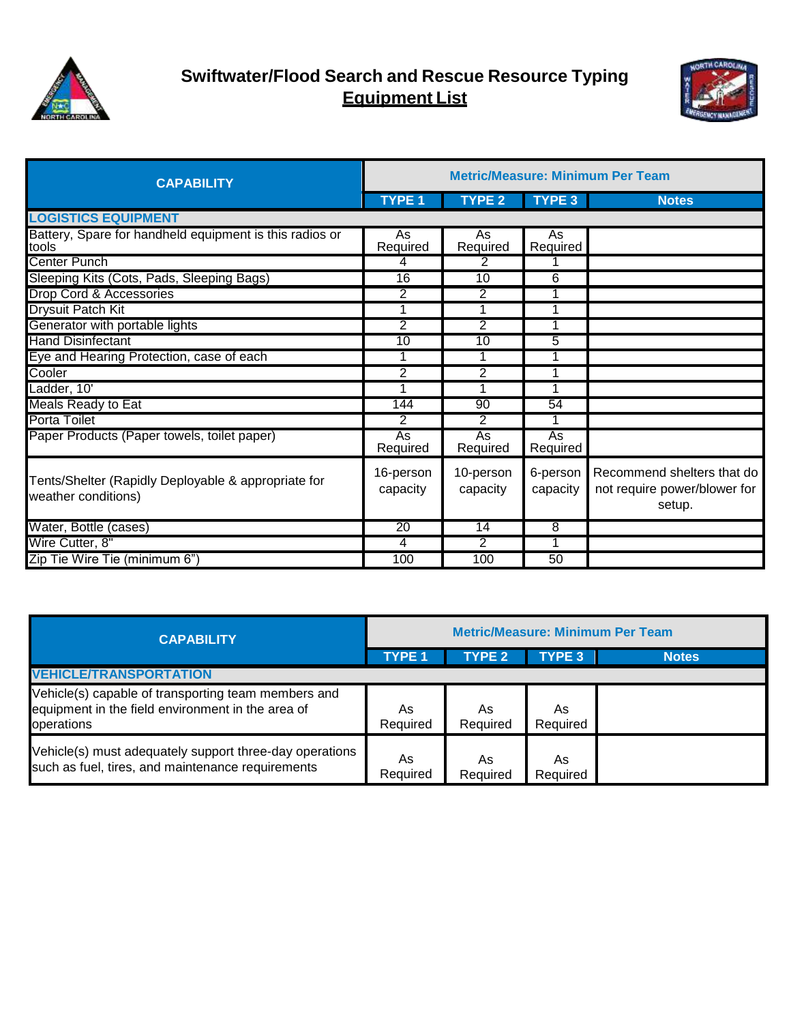



| <b>CAPABILITY</b>                                                          | <b>Metric/Measure: Minimum Per Team</b> |                       |                      |                                                                      |  |  |
|----------------------------------------------------------------------------|-----------------------------------------|-----------------------|----------------------|----------------------------------------------------------------------|--|--|
|                                                                            | <b>TYPE 1</b>                           | <b>TYPE 2</b>         | <b>TYPE 3</b>        | <b>Notes</b>                                                         |  |  |
| <b>LOGISTICS EQUIPMENT</b>                                                 |                                         |                       |                      |                                                                      |  |  |
| Battery, Spare for handheld equipment is this radios or<br>tools           | As<br>Required                          | As<br>Required        | As<br>Required       |                                                                      |  |  |
| <b>Center Punch</b>                                                        | 4                                       | 2                     |                      |                                                                      |  |  |
| Sleeping Kits (Cots, Pads, Sleeping Bags)                                  | $\overline{16}$                         | 10                    | 6                    |                                                                      |  |  |
| Drop Cord & Accessories                                                    | 2                                       | 2                     |                      |                                                                      |  |  |
| <b>Drysuit Patch Kit</b>                                                   | 1                                       |                       |                      |                                                                      |  |  |
| Generator with portable lights                                             | $\overline{2}$                          | $\overline{2}$        |                      |                                                                      |  |  |
| <b>Hand Disinfectant</b>                                                   | 10                                      | $\overline{10}$       | 5                    |                                                                      |  |  |
| Eye and Hearing Protection, case of each                                   | 1                                       |                       |                      |                                                                      |  |  |
| Cooler                                                                     | $\overline{2}$                          | $\overline{2}$        |                      |                                                                      |  |  |
| Ladder, 10'                                                                |                                         |                       |                      |                                                                      |  |  |
| Meals Ready to Eat                                                         | 144                                     | 90                    | 54                   |                                                                      |  |  |
| <b>Porta Toilet</b>                                                        | 2                                       | 2                     |                      |                                                                      |  |  |
| Paper Products (Paper towels, toilet paper)                                | <b>As</b><br>Required                   | As<br>Required        | As<br>Required       |                                                                      |  |  |
| Tents/Shelter (Rapidly Deployable & appropriate for<br>weather conditions) | 16-person<br>capacity                   | 10-person<br>capacity | 6-person<br>capacity | Recommend shelters that do<br>not require power/blower for<br>setup. |  |  |
| Water, Bottle (cases)                                                      | 20                                      | 14                    | 8                    |                                                                      |  |  |
| Wire Cutter, 8"                                                            | 4                                       | $\overline{2}$        | 1                    |                                                                      |  |  |
| Zip Tie Wire Tie (minimum 6")                                              | 100                                     | 100                   | 50                   |                                                                      |  |  |

| <b>CAPABILITY</b>                                                                                                      | <b>Metric/Measure: Minimum Per Team</b> |                |                |              |  |
|------------------------------------------------------------------------------------------------------------------------|-----------------------------------------|----------------|----------------|--------------|--|
|                                                                                                                        | <b>TYPE 1</b>                           | <b>TYPE 2</b>  | <b>TYPE 3</b>  | <b>Notes</b> |  |
| <b>VEHICLE/TRANSPORTATION</b>                                                                                          |                                         |                |                |              |  |
| Vehicle(s) capable of transporting team members and<br>equipment in the field environment in the area of<br>operations | As<br>Required                          | As<br>Required | As<br>Required |              |  |
| Vehicle(s) must adequately support three-day operations<br>such as fuel, tires, and maintenance requirements           | As<br>Required                          | As<br>Required | As<br>Required |              |  |